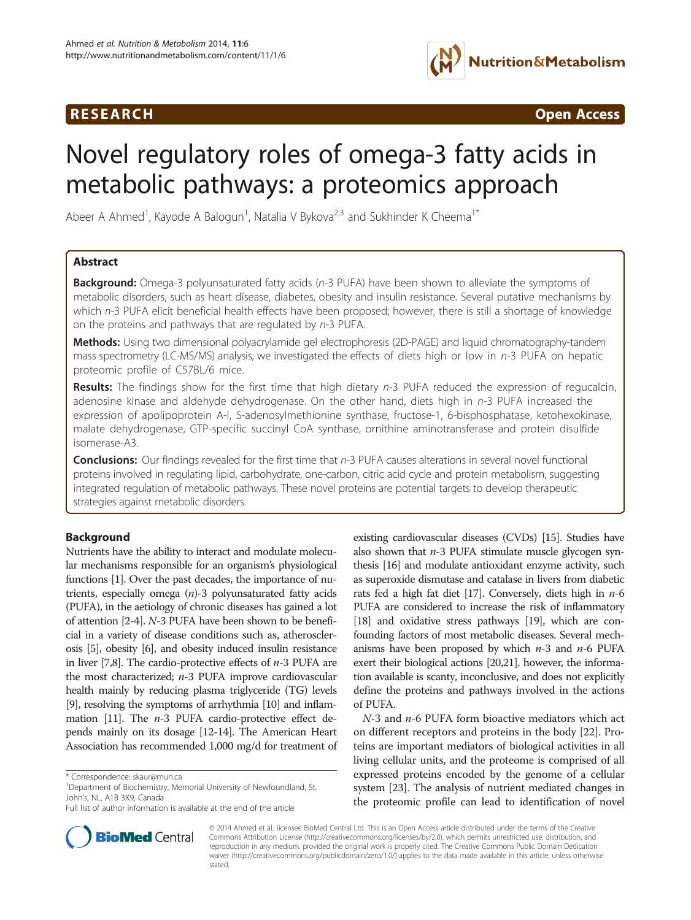## **RESEARCH CHINESE ARCH CHINESE ARCH CHINESE ARCH**



# Novel regulatory roles of omega-3 fatty acids in metabolic pathways: a proteomics approach

Abeer A Ahmed<sup>1</sup>, Kayode A Balogun<sup>1</sup>, Natalia V Bykova<sup>2,3</sup> and Sukhinder K Cheema<sup>1\*</sup>

## Abstract

**Background:** Omega-3 polyunsaturated fatty acids (n-3 PUFA) have been shown to alleviate the symptoms of metabolic disorders, such as heart disease, diabetes, obesity and insulin resistance. Several putative mechanisms by which n-3 PUFA elicit beneficial health effects have been proposed; however, there is still a shortage of knowledge on the proteins and pathways that are regulated by n-3 PUFA.

Methods: Using two dimensional polyacrylamide gel electrophoresis (2D-PAGE) and liquid chromatography-tandem mass spectrometry (LC-MS/MS) analysis, we investigated the effects of diets high or low in n-3 PUFA on hepatic proteomic profile of C57BL/6 mice.

Results: The findings show for the first time that high dietary n-3 PUFA reduced the expression of regucalcin, adenosine kinase and aldehyde dehydrogenase. On the other hand, diets high in n-3 PUFA increased the expression of apolipoprotein A-I, S-adenosylmethionine synthase, fructose-1, 6-bisphosphatase, ketohexokinase, malate dehydrogenase, GTP-specific succinyl CoA synthase, ornithine aminotransferase and protein disulfide isomerase-A3.

Conclusions: Our findings revealed for the first time that n-3 PUFA causes alterations in several novel functional proteins involved in regulating lipid, carbohydrate, one-carbon, citric acid cycle and protein metabolism, suggesting integrated regulation of metabolic pathways. These novel proteins are potential targets to develop therapeutic strategies against metabolic disorders.

## Background

Nutrients have the ability to interact and modulate molecular mechanisms responsible for an organism's physiological functions [\[1\]](#page-8-0). Over the past decades, the importance of nutrients, especially omega  $(n)$ -3 polyunsaturated fatty acids (PUFA), in the aetiology of chronic diseases has gained a lot of attention [\[2](#page-8-0)-[4](#page-8-0)]. N-3 PUFA have been shown to be beneficial in a variety of disease conditions such as, atherosclerosis [[5\]](#page-8-0), obesity [\[6\]](#page-8-0), and obesity induced insulin resistance in liver [\[7,8](#page-8-0)]. The cardio-protective effects of  $n-3$  PUFA are the most characterized; n-3 PUFA improve cardiovascular health mainly by reducing plasma triglyceride (TG) levels [[9](#page-8-0)], resolving the symptoms of arrhythmia [\[10\]](#page-8-0) and inflam-mation [[11\]](#page-8-0). The  $n-3$  PUFA cardio-protective effect depends mainly on its dosage [[12](#page-8-0)-[14](#page-8-0)]. The American Heart Association has recommended 1,000 mg/d for treatment of existing cardiovascular diseases (CVDs) [\[15\]](#page-8-0). Studies have also shown that  $n-3$  PUFA stimulate muscle glycogen synthesis [\[16](#page-8-0)] and modulate antioxidant enzyme activity, such as superoxide dismutase and catalase in livers from diabetic rats fed a high fat diet [\[17\]](#page-8-0). Conversely, diets high in  $n-6$ PUFA are considered to increase the risk of inflammatory [[18](#page-8-0)] and oxidative stress pathways [\[19\]](#page-8-0), which are confounding factors of most metabolic diseases. Several mechanisms have been proposed by which  $n-3$  and  $n-6$  PUFA exert their biological actions [\[20,21](#page-8-0)], however, the information available is scanty, inconclusive, and does not explicitly define the proteins and pathways involved in the actions of PUFA.

 $N-3$  and  $n-6$  PUFA form bioactive mediators which act on different receptors and proteins in the body [[22\]](#page-8-0). Proteins are important mediators of biological activities in all living cellular units, and the proteome is comprised of all expressed proteins encoded by the genome of a cellular system [\[23\]](#page-8-0). The analysis of nutrient mediated changes in the proteomic profile can lead to identification of novel



© 2014 Ahmed et al.; licensee BioMed Central Ltd. This is an Open Access article distributed under the terms of the Creative Commons Attribution License [\(http://creativecommons.org/licenses/by/2.0\)](http://creativecommons.org/licenses/by/2.0), which permits unrestricted use, distribution, and reproduction in any medium, provided the original work is properly cited. The Creative Commons Public Domain Dedication waiver [\(http://creativecommons.org/publicdomain/zero/1.0/\)](http://creativecommons.org/publicdomain/zero/1.0/) applies to the data made available in this article, unless otherwise stated.

<sup>\*</sup> Correspondence: [skaur@mun.ca](mailto:skaur@mun.ca) <sup>1</sup>

<sup>&</sup>lt;sup>1</sup>Department of Biochemistry, Memorial University of Newfoundland, St. John's, NL, A1B 3X9, Canada

Full list of author information is available at the end of the article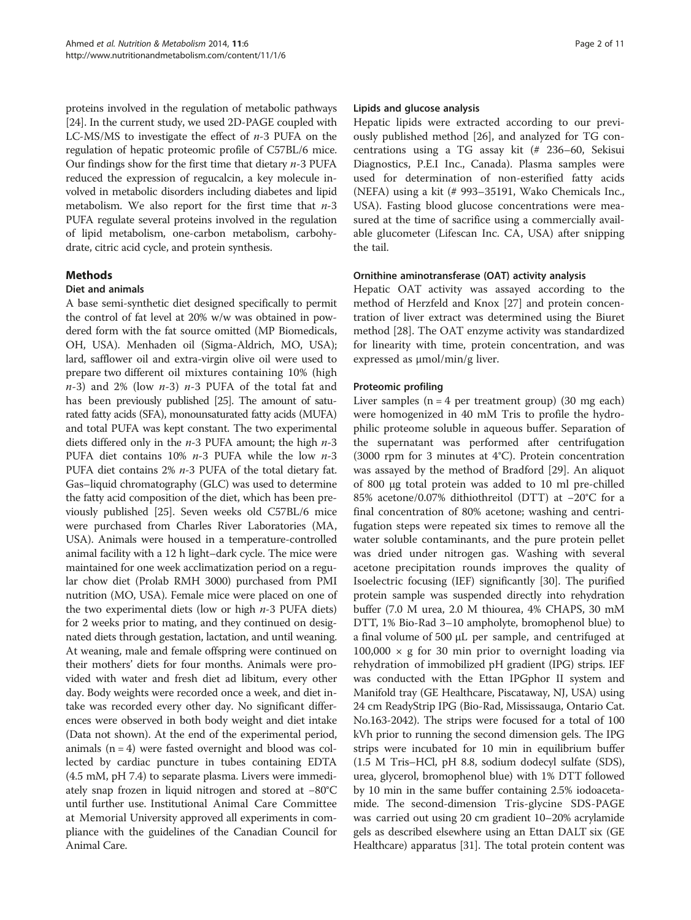proteins involved in the regulation of metabolic pathways [[24](#page-8-0)]. In the current study, we used 2D-PAGE coupled with LC-MS/MS to investigate the effect of  $n-3$  PUFA on the regulation of hepatic proteomic profile of C57BL/6 mice. Our findings show for the first time that dietary  $n-3$  PUFA reduced the expression of regucalcin, a key molecule involved in metabolic disorders including diabetes and lipid metabolism. We also report for the first time that  $n-3$ PUFA regulate several proteins involved in the regulation of lipid metabolism, one-carbon metabolism, carbohydrate, citric acid cycle, and protein synthesis.

## Methods

#### Diet and animals

A base semi-synthetic diet designed specifically to permit the control of fat level at 20% w/w was obtained in powdered form with the fat source omitted (MP Biomedicals, OH, USA). Menhaden oil (Sigma-Aldrich, MO, USA); lard, safflower oil and extra-virgin olive oil were used to prepare two different oil mixtures containing 10% (high  $n-3$ ) and 2% (low  $n-3$ )  $n-3$  PUFA of the total fat and has been previously published [\[25\]](#page-8-0). The amount of saturated fatty acids (SFA), monounsaturated fatty acids (MUFA) and total PUFA was kept constant. The two experimental diets differed only in the  $n-3$  PUFA amount; the high  $n-3$ PUFA diet contains 10% n-3 PUFA while the low n-3 PUFA diet contains 2% n-3 PUFA of the total dietary fat. Gas–liquid chromatography (GLC) was used to determine the fatty acid composition of the diet, which has been previously published [\[25\]](#page-8-0). Seven weeks old C57BL/6 mice were purchased from Charles River Laboratories (MA, USA). Animals were housed in a temperature-controlled animal facility with a 12 h light–dark cycle. The mice were maintained for one week acclimatization period on a regular chow diet (Prolab RMH 3000) purchased from PMI nutrition (MO, USA). Female mice were placed on one of the two experimental diets (low or high  $n-3$  PUFA diets) for 2 weeks prior to mating, and they continued on designated diets through gestation, lactation, and until weaning. At weaning, male and female offspring were continued on their mothers' diets for four months. Animals were provided with water and fresh diet ad libitum, every other day. Body weights were recorded once a week, and diet intake was recorded every other day. No significant differences were observed in both body weight and diet intake (Data not shown). At the end of the experimental period, animals  $(n = 4)$  were fasted overnight and blood was collected by cardiac puncture in tubes containing EDTA (4.5 mM, pH 7.4) to separate plasma. Livers were immediately snap frozen in liquid nitrogen and stored at −80°C until further use. Institutional Animal Care Committee at Memorial University approved all experiments in compliance with the guidelines of the Canadian Council for Animal Care.

#### Lipids and glucose analysis

Hepatic lipids were extracted according to our previously published method [[26\]](#page-8-0), and analyzed for TG concentrations using a TG assay kit (# 236–60, Sekisui Diagnostics, P.E.I Inc., Canada). Plasma samples were used for determination of non-esterified fatty acids (NEFA) using a kit (# 993–35191, Wako Chemicals Inc., USA). Fasting blood glucose concentrations were measured at the time of sacrifice using a commercially available glucometer (Lifescan Inc. CA, USA) after snipping the tail.

#### Ornithine aminotransferase (OAT) activity analysis

Hepatic OAT activity was assayed according to the method of Herzfeld and Knox [\[27](#page-8-0)] and protein concentration of liver extract was determined using the Biuret method [\[28\]](#page-8-0). The OAT enzyme activity was standardized for linearity with time, protein concentration, and was expressed as μmol/min/g liver.

### Proteomic profiling

Liver samples  $(n = 4$  per treatment group) (30 mg each) were homogenized in 40 mM Tris to profile the hydrophilic proteome soluble in aqueous buffer. Separation of the supernatant was performed after centrifugation (3000 rpm for 3 minutes at 4°C). Protein concentration was assayed by the method of Bradford [[29\]](#page-8-0). An aliquot of 800 μg total protein was added to 10 ml pre-chilled 85% acetone/0.07% dithiothreitol (DTT) at −20°C for a final concentration of 80% acetone; washing and centrifugation steps were repeated six times to remove all the water soluble contaminants, and the pure protein pellet was dried under nitrogen gas. Washing with several acetone precipitation rounds improves the quality of Isoelectric focusing (IEF) significantly [\[30\]](#page-8-0). The purified protein sample was suspended directly into rehydration buffer (7.0 M urea, 2.0 M thiourea, 4% CHAPS, 30 mM DTT, 1% Bio-Rad 3–10 ampholyte, bromophenol blue) to a final volume of 500 μL per sample, and centrifuged at  $100,000 \times g$  for 30 min prior to overnight loading via rehydration of immobilized pH gradient (IPG) strips. IEF was conducted with the Ettan IPGphor II system and Manifold tray (GE Healthcare, Piscataway, NJ, USA) using 24 cm ReadyStrip IPG (Bio-Rad, Mississauga, Ontario Cat. No.163-2042). The strips were focused for a total of 100 kVh prior to running the second dimension gels. The IPG strips were incubated for 10 min in equilibrium buffer (1.5 M Tris–HCl, pH 8.8, sodium dodecyl sulfate (SDS), urea, glycerol, bromophenol blue) with 1% DTT followed by 10 min in the same buffer containing 2.5% iodoacetamide. The second-dimension Tris-glycine SDS-PAGE was carried out using 20 cm gradient 10–20% acrylamide gels as described elsewhere using an Ettan DALT six (GE Healthcare) apparatus [\[31](#page-8-0)]. The total protein content was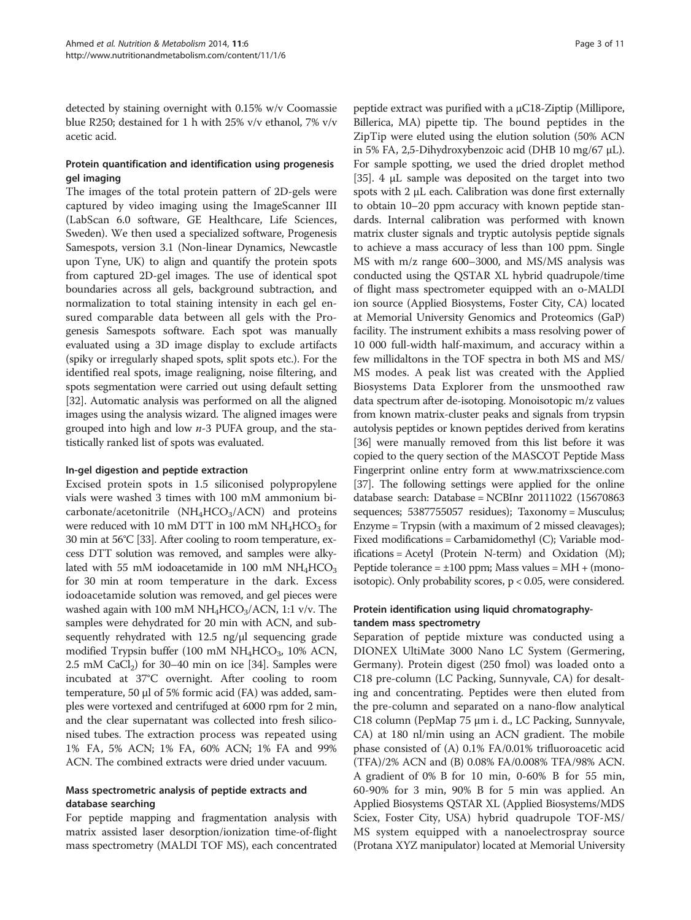detected by staining overnight with 0.15% w/v Coomassie blue R250; destained for 1 h with 25% v/v ethanol, 7% v/v acetic acid.

## Protein quantification and identification using progenesis gel imaging

The images of the total protein pattern of 2D-gels were captured by video imaging using the ImageScanner III (LabScan 6.0 software, GE Healthcare, Life Sciences, Sweden). We then used a specialized software, Progenesis Samespots, version 3.1 (Non-linear Dynamics, Newcastle upon Tyne, UK) to align and quantify the protein spots from captured 2D-gel images. The use of identical spot boundaries across all gels, background subtraction, and normalization to total staining intensity in each gel ensured comparable data between all gels with the Progenesis Samespots software. Each spot was manually evaluated using a 3D image display to exclude artifacts (spiky or irregularly shaped spots, split spots etc.). For the identified real spots, image realigning, noise filtering, and spots segmentation were carried out using default setting [[32](#page-8-0)]. Automatic analysis was performed on all the aligned images using the analysis wizard. The aligned images were grouped into high and low  $n-3$  PUFA group, and the statistically ranked list of spots was evaluated.

### In-gel digestion and peptide extraction

Excised protein spots in 1.5 siliconised polypropylene vials were washed 3 times with 100 mM ammonium bicarbonate/acetonitrile  $(NH_4HCO_3/ACN)$  and proteins were reduced with 10 mM DTT in 100 mM  $NH_4HCO_3$  for 30 min at 56°C [[33](#page-8-0)]. After cooling to room temperature, excess DTT solution was removed, and samples were alkylated with 55 mM iodoacetamide in 100 mM  $NH<sub>4</sub>HCO<sub>3</sub>$ for 30 min at room temperature in the dark. Excess iodoacetamide solution was removed, and gel pieces were washed again with 100 mM  $NH_4HCO_3/ACN$ , 1:1 v/v. The samples were dehydrated for 20 min with ACN, and subsequently rehydrated with 12.5 ng/μl sequencing grade modified Trypsin buffer (100 mM  $NH<sub>4</sub>HCO<sub>3</sub>$ , 10% ACN, 2.5 mM  $CaCl<sub>2</sub>$ ) for 30–40 min on ice [[34](#page-8-0)]. Samples were incubated at 37°C overnight. After cooling to room temperature, 50 μl of 5% formic acid (FA) was added, samples were vortexed and centrifuged at 6000 rpm for 2 min, and the clear supernatant was collected into fresh siliconised tubes. The extraction process was repeated using 1% FA, 5% ACN; 1% FA, 60% ACN; 1% FA and 99% ACN. The combined extracts were dried under vacuum.

### Mass spectrometric analysis of peptide extracts and database searching

For peptide mapping and fragmentation analysis with matrix assisted laser desorption/ionization time-of-flight mass spectrometry (MALDI TOF MS), each concentrated

peptide extract was purified with a μC18-Ziptip (Millipore, Billerica, MA) pipette tip. The bound peptides in the ZipTip were eluted using the elution solution (50% ACN in 5% FA, 2,5-Dihydroxybenzoic acid (DHB 10 mg/67 μL). For sample spotting, we used the dried droplet method [[35](#page-8-0)]. 4 μL sample was deposited on the target into two spots with 2 μL each. Calibration was done first externally to obtain 10–20 ppm accuracy with known peptide standards. Internal calibration was performed with known matrix cluster signals and tryptic autolysis peptide signals to achieve a mass accuracy of less than 100 ppm. Single MS with m/z range 600–3000, and MS/MS analysis was conducted using the QSTAR XL hybrid quadrupole/time of flight mass spectrometer equipped with an o-MALDI ion source (Applied Biosystems, Foster City, CA) located at Memorial University Genomics and Proteomics (GaP) facility. The instrument exhibits a mass resolving power of 10 000 full-width half-maximum, and accuracy within a few millidaltons in the TOF spectra in both MS and MS/ MS modes. A peak list was created with the Applied Biosystems Data Explorer from the unsmoothed raw data spectrum after de-isotoping. Monoisotopic m/z values from known matrix-cluster peaks and signals from trypsin autolysis peptides or known peptides derived from keratins [[36](#page-8-0)] were manually removed from this list before it was copied to the query section of the MASCOT Peptide Mass Fingerprint online entry form at [www.matrixscience.com](http://www.matrixscience.com) [[37](#page-8-0)]. The following settings were applied for the online database search: Database = NCBInr 20111022 (15670863 sequences; 5387755057 residues); Taxonomy = Musculus; Enzyme = Trypsin (with a maximum of 2 missed cleavages); Fixed modifications = Carbamidomethyl (C); Variable modifications = Acetyl (Protein N-term) and Oxidation (M); Peptide tolerance =  $\pm 100$  ppm; Mass values = MH + (monoisotopic). Only probability scores, p < 0.05, were considered.

### Protein identification using liquid chromatographytandem mass spectrometry

Separation of peptide mixture was conducted using a DIONEX UltiMate 3000 Nano LC System (Germering, Germany). Protein digest (250 fmol) was loaded onto a C18 pre-column (LC Packing, Sunnyvale, CA) for desalting and concentrating. Peptides were then eluted from the pre-column and separated on a nano-flow analytical C18 column (PepMap 75 μm i. d., LC Packing, Sunnyvale, CA) at 180 nl/min using an ACN gradient. The mobile phase consisted of (A) 0.1% FA/0.01% trifluoroacetic acid (TFA)/2% ACN and (B) 0.08% FA/0.008% TFA/98% ACN. A gradient of 0% B for 10 min, 0-60% B for 55 min, 60-90% for 3 min, 90% B for 5 min was applied. An Applied Biosystems QSTAR XL (Applied Biosystems/MDS Sciex, Foster City, USA) hybrid quadrupole TOF-MS/ MS system equipped with a nanoelectrospray source (Protana XYZ manipulator) located at Memorial University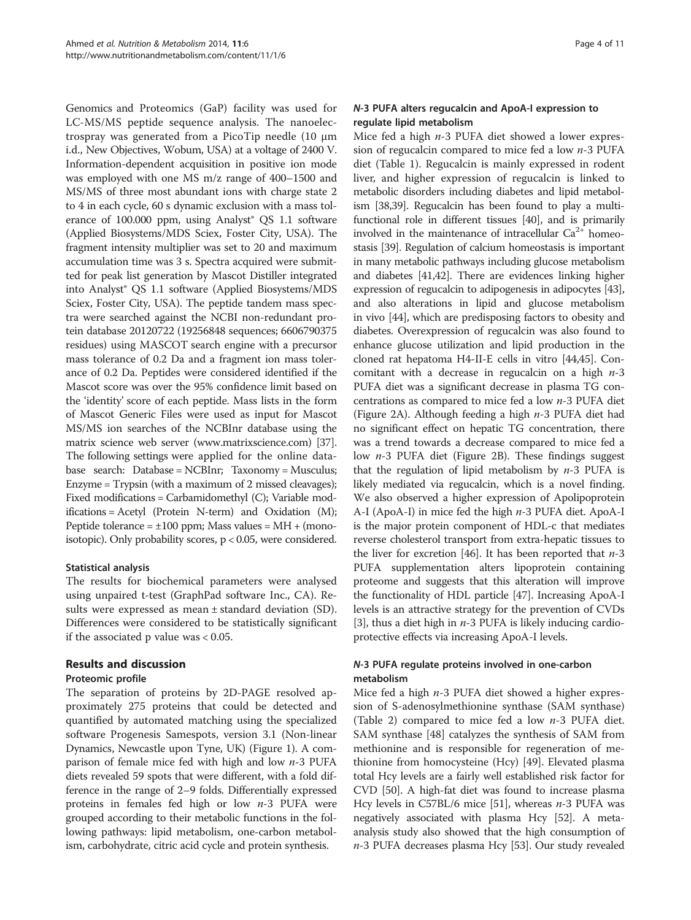Genomics and Proteomics (GaP) facility was used for LC-MS/MS peptide sequence analysis. The nanoelectrospray was generated from a PicoTip needle (10 μm i.d., New Objectives, Wobum, USA) at a voltage of 2400 V. Information-dependent acquisition in positive ion mode was employed with one MS m/z range of 400–1500 and MS/MS of three most abundant ions with charge state 2 to 4 in each cycle, 60 s dynamic exclusion with a mass tolerance of 100.000 ppm, using Analyst<sup>®</sup> QS 1.1 software (Applied Biosystems/MDS Sciex, Foster City, USA). The fragment intensity multiplier was set to 20 and maximum accumulation time was 3 s. Spectra acquired were submitted for peak list generation by Mascot Distiller integrated into Analyst® QS 1.1 software (Applied Biosystems/MDS Sciex, Foster City, USA). The peptide tandem mass spectra were searched against the NCBI non-redundant protein database 20120722 (19256848 sequences; 6606790375 residues) using MASCOT search engine with a precursor mass tolerance of 0.2 Da and a fragment ion mass tolerance of 0.2 Da. Peptides were considered identified if the Mascot score was over the 95% confidence limit based on the 'identity' score of each peptide. Mass lists in the form of Mascot Generic Files were used as input for Mascot MS/MS ion searches of the NCBInr database using the matrix science web server [\(www.matrixscience.com\)](http://www.matrixscience.com) [[37](#page-8-0)]. The following settings were applied for the online database search: Database = NCBInr; Taxonomy = Musculus; Enzyme = Trypsin (with a maximum of 2 missed cleavages); Fixed modifications = Carbamidomethyl (C); Variable modifications = Acetyl (Protein N-term) and Oxidation (M); Peptide tolerance =  $\pm 100$  ppm; Mass values = MH + (monoisotopic). Only probability scores, p < 0.05, were considered.

### Statistical analysis

The results for biochemical parameters were analysed using unpaired t-test (GraphPad software Inc., CA). Results were expressed as mean ± standard deviation (SD). Differences were considered to be statistically significant if the associated p value was < 0.05.

## Results and discussion

### Proteomic profile

The separation of proteins by 2D-PAGE resolved approximately 275 proteins that could be detected and quantified by automated matching using the specialized software Progenesis Samespots, version 3.1 (Non-linear Dynamics, Newcastle upon Tyne, UK) (Figure [1](#page-4-0)). A comparison of female mice fed with high and low  $n-3$  PUFA diets revealed 59 spots that were different, with a fold difference in the range of 2–9 folds. Differentially expressed proteins in females fed high or low  $n-3$  PUFA were grouped according to their metabolic functions in the following pathways: lipid metabolism, one-carbon metabolism, carbohydrate, citric acid cycle and protein synthesis.

## N-3 PUFA alters regucalcin and ApoA-I expression to regulate lipid metabolism

Mice fed a high  $n-3$  PUFA diet showed a lower expression of regucalcin compared to mice fed a low  $n-3$  PUFA diet (Table [1\)](#page-4-0). Regucalcin is mainly expressed in rodent liver, and higher expression of regucalcin is linked to metabolic disorders including diabetes and lipid metabolism [\[38,39](#page-8-0)]. Regucalcin has been found to play a multifunctional role in different tissues [\[40\]](#page-8-0), and is primarily involved in the maintenance of intracellular  $Ca^{2+}$  homeostasis [\[39](#page-8-0)]. Regulation of calcium homeostasis is important in many metabolic pathways including glucose metabolism and diabetes [[41,42\]](#page-8-0). There are evidences linking higher expression of regucalcin to adipogenesis in adipocytes [[43](#page-8-0)], and also alterations in lipid and glucose metabolism in vivo [\[44\]](#page-9-0), which are predisposing factors to obesity and diabetes. Overexpression of regucalcin was also found to enhance glucose utilization and lipid production in the cloned rat hepatoma H4-II-E cells in vitro [[44,45\]](#page-9-0). Concomitant with a decrease in regucalcin on a high  $n-3$ PUFA diet was a significant decrease in plasma TG concentrations as compared to mice fed a low n-3 PUFA diet (Figure [2A](#page-5-0)). Although feeding a high  $n-3$  PUFA diet had no significant effect on hepatic TG concentration, there was a trend towards a decrease compared to mice fed a low  $n-3$  PUFA diet (Figure [2](#page-5-0)B). These findings suggest that the regulation of lipid metabolism by  $n-3$  PUFA is likely mediated via regucalcin, which is a novel finding. We also observed a higher expression of Apolipoprotein A-I (ApoA-I) in mice fed the high  $n-3$  PUFA diet. ApoA-I is the major protein component of HDL-c that mediates reverse cholesterol transport from extra-hepatic tissues to the liver for excretion [\[46](#page-9-0)]. It has been reported that  $n-3$ PUFA supplementation alters lipoprotein containing proteome and suggests that this alteration will improve the functionality of HDL particle [\[47\]](#page-9-0). Increasing ApoA-I levels is an attractive strategy for the prevention of CVDs [[3\]](#page-8-0), thus a diet high in  $n-3$  PUFA is likely inducing cardioprotective effects via increasing ApoA-I levels.

## N-3 PUFA regulate proteins involved in one-carbon metabolism

Mice fed a high  $n-3$  PUFA diet showed a higher expression of S-adenosylmethionine synthase (SAM synthase) (Table [2](#page-5-0)) compared to mice fed a low  $n-3$  PUFA diet. SAM synthase [[48\]](#page-9-0) catalyzes the synthesis of SAM from methionine and is responsible for regeneration of methionine from homocysteine (Hcy) [[49\]](#page-9-0). Elevated plasma total Hcy levels are a fairly well established risk factor for CVD [\[50\]](#page-9-0). A high-fat diet was found to increase plasma Hcy levels in C57BL/6 mice [\[51](#page-9-0)], whereas  $n-3$  PUFA was negatively associated with plasma Hcy [\[52\]](#page-9-0). A metaanalysis study also showed that the high consumption of n-3 PUFA decreases plasma Hcy [\[53\]](#page-9-0). Our study revealed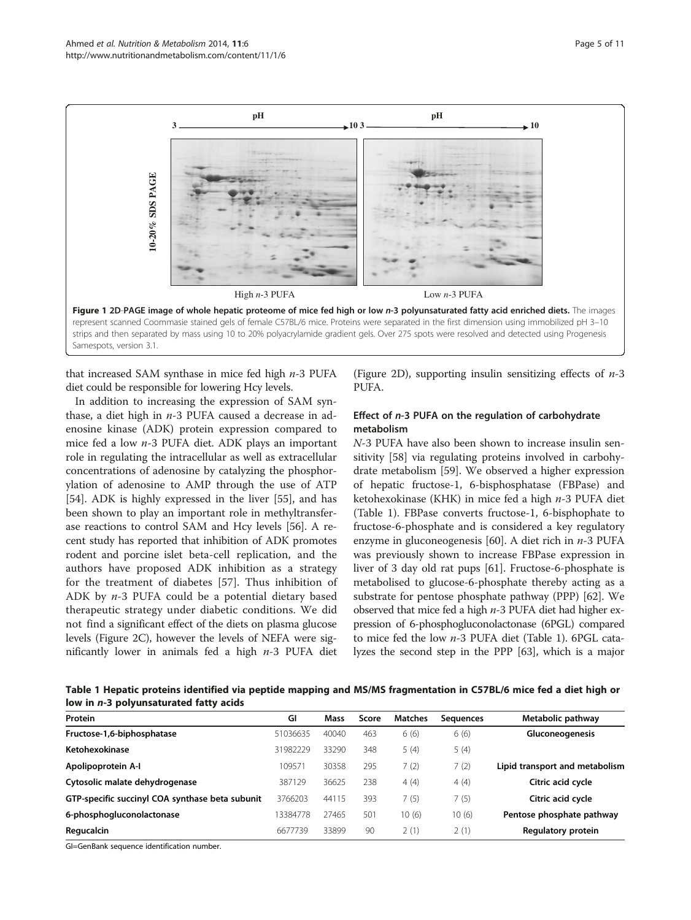

<span id="page-4-0"></span>

that increased SAM synthase in mice fed high  $n-3$  PUFA diet could be responsible for lowering Hcy levels.

In addition to increasing the expression of SAM synthase, a diet high in  $n-3$  PUFA caused a decrease in adenosine kinase (ADK) protein expression compared to mice fed a low n-3 PUFA diet. ADK plays an important role in regulating the intracellular as well as extracellular concentrations of adenosine by catalyzing the phosphorylation of adenosine to AMP through the use of ATP [[54\]](#page-9-0). ADK is highly expressed in the liver [\[55\]](#page-9-0), and has been shown to play an important role in methyltransferase reactions to control SAM and Hcy levels [[56](#page-9-0)]. A recent study has reported that inhibition of ADK promotes rodent and porcine islet beta-cell replication, and the authors have proposed ADK inhibition as a strategy for the treatment of diabetes [[57](#page-9-0)]. Thus inhibition of ADK by  $n-3$  PUFA could be a potential dietary based therapeutic strategy under diabetic conditions. We did not find a significant effect of the diets on plasma glucose levels (Figure [2](#page-5-0)C), however the levels of NEFA were significantly lower in animals fed a high  $n-3$  PUFA diet

(Figure [2](#page-5-0)D), supporting insulin sensitizing effects of  $n-3$ PUFA.

#### Effect of n-3 PUFA on the regulation of carbohydrate metabolism

N-3 PUFA have also been shown to increase insulin sensitivity [\[58](#page-9-0)] via regulating proteins involved in carbohydrate metabolism [[59\]](#page-9-0). We observed a higher expression of hepatic fructose-1, 6-bisphosphatase (FBPase) and ketohexokinase (KHK) in mice fed a high n-3 PUFA diet (Table 1). FBPase converts fructose-1, 6-bisphophate to fructose-6-phosphate and is considered a key regulatory enzyme in gluconeogenesis [[60\]](#page-9-0). A diet rich in  $n-3$  PUFA was previously shown to increase FBPase expression in liver of 3 day old rat pups [[61\]](#page-9-0). Fructose-6-phosphate is metabolised to glucose-6-phosphate thereby acting as a substrate for pentose phosphate pathway (PPP) [[62\]](#page-9-0). We observed that mice fed a high  $n-3$  PUFA diet had higher expression of 6-phosphogluconolactonase (6PGL) compared to mice fed the low n-3 PUFA diet (Table 1). 6PGL catalyzes the second step in the PPP [\[63\]](#page-9-0), which is a major

Table 1 Hepatic proteins identified via peptide mapping and MS/MS fragmentation in C57BL/6 mice fed a diet high or low in n-3 polyunsaturated fatty acids

| Protein                                         | GI       | Mass  | Score | <b>Matches</b> | Seauences | Metabolic pathway              |
|-------------------------------------------------|----------|-------|-------|----------------|-----------|--------------------------------|
| Fructose-1,6-biphosphatase                      | 51036635 | 40040 | 463   | 6(6)           | 6(6)      | <b>Gluconeogenesis</b>         |
| Ketohexokinase                                  | 31982229 | 33290 | 348   | 5(4)           | 5(4)      |                                |
| Apolipoprotein A-I                              | 109571   | 30358 | 295   | 7(2)           | 7(2)      | Lipid transport and metabolism |
| Cytosolic malate dehydrogenase                  | 387129   | 36625 | 238   | 4(4)           | 4(4)      | Citric acid cycle              |
| GTP-specific succinyl COA synthase beta subunit | 3766203  | 44115 | 393   | 7(5)           | 7(5)      | Citric acid cycle              |
| 6-phosphogluconolactonase                       | 3384778  | 27465 | 501   | 10(6)          | 10(6)     | Pentose phosphate pathway      |
| Regucalcin                                      | 6677739  | 33899 | 90    | 2(1)           | 2(1)      | Regulatory protein             |

GI=GenBank sequence identification number.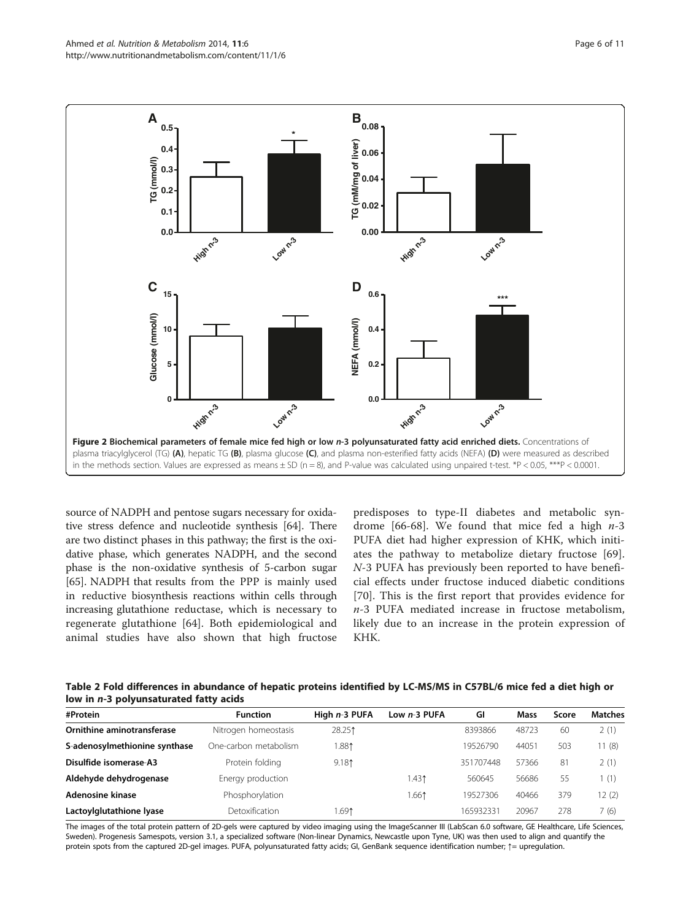<span id="page-5-0"></span>

source of NADPH and pentose sugars necessary for oxidative stress defence and nucleotide synthesis [\[64\]](#page-9-0). There are two distinct phases in this pathway; the first is the oxidative phase, which generates NADPH, and the second phase is the non-oxidative synthesis of 5-carbon sugar [[65](#page-9-0)]. NADPH that results from the PPP is mainly used in reductive biosynthesis reactions within cells through increasing glutathione reductase, which is necessary to regenerate glutathione [\[64](#page-9-0)]. Both epidemiological and animal studies have also shown that high fructose predisposes to type-II diabetes and metabolic syn-drome [[66-68](#page-9-0)]. We found that mice fed a high  $n-3$ PUFA diet had higher expression of KHK, which initiates the pathway to metabolize dietary fructose [\[69](#page-9-0)]. N-3 PUFA has previously been reported to have beneficial effects under fructose induced diabetic conditions [[70\]](#page-9-0). This is the first report that provides evidence for  $n-3$  PUFA mediated increase in fructose metabolism, likely due to an increase in the protein expression of KHK.

Table 2 Fold differences in abundance of hepatic proteins identified by LC-MS/MS in C57BL/6 mice fed a diet high or low in n-3 polyunsaturated fatty acids

| #Protein                      | <b>Function</b>       | High $n-3$ PUFA | Low $n-3$ PUFA | GI        | Mass  | Score | <b>Matches</b> |
|-------------------------------|-----------------------|-----------------|----------------|-----------|-------|-------|----------------|
| Ornithine aminotransferase    | Nitrogen homeostasis  | 28.251          |                | 8393866   | 48723 | 60    | 2(1)           |
| S-adenosylmethionine synthase | One-carbon metabolism | 1.881           |                | 19526790  | 44051 | 503   | 11 (8)         |
| Disulfide isomerase-A3        | Protein folding       | 9.181           |                | 351707448 | 57366 | 81    | 2(1)           |
| Aldehyde dehydrogenase        | Energy production     |                 | 1.431          | 560645    | 56686 | 55    | 1(1)           |
| Adenosine kinase              | Phosphorylation       |                 | 1.661          | 19527306  | 40466 | 379   | 12 (2)         |
| Lactoylglutathione lyase      | Detoxification        | 1.691           |                | 165932331 | 20967 | 278   | 7 (6)          |

The images of the total protein pattern of 2D-gels were captured by video imaging using the ImageScanner III (LabScan 6.0 software, GE Healthcare, Life Sciences, Sweden). Progenesis Samespots, version 3.1, a specialized software (Non-linear Dynamics, Newcastle upon Tyne, UK) was then used to align and quantify the protein spots from the captured 2D-gel images. PUFA, polyunsaturated fatty acids; GI, GenBank sequence identification number; ↑= upregulation.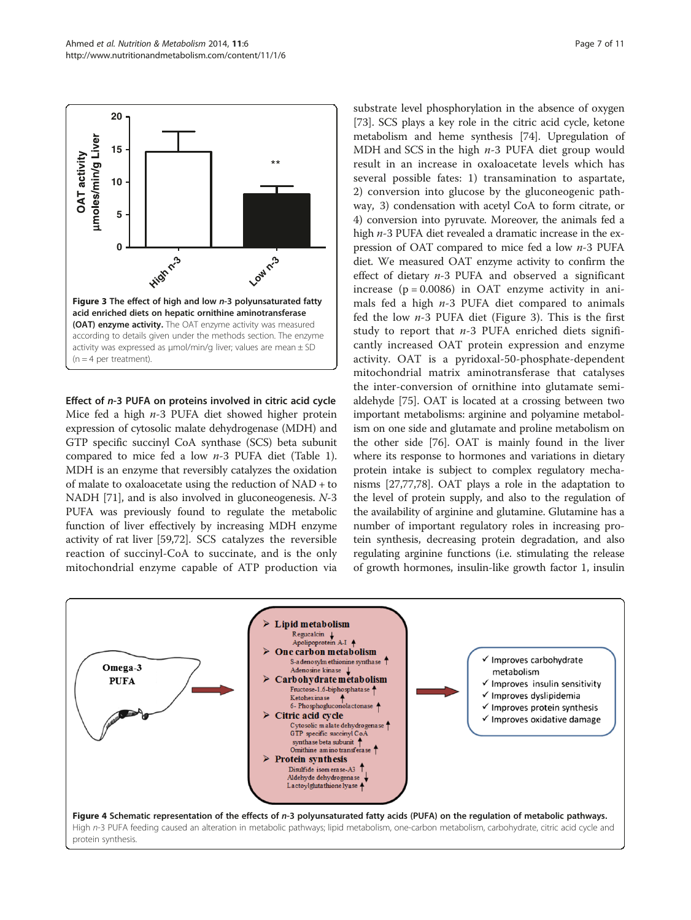<span id="page-6-0"></span>

Effect of n-3 PUFA on proteins involved in citric acid cycle Mice fed a high  $n-3$  PUFA diet showed higher protein expression of cytosolic malate dehydrogenase (MDH) and GTP specific succinyl CoA synthase (SCS) beta subunit compared to mice fed a low  $n-3$  PUFA diet (Table [1](#page-4-0)). MDH is an enzyme that reversibly catalyzes the oxidation of malate to oxaloacetate using the reduction of NAD + to NADH [\[71\]](#page-9-0), and is also involved in gluconeogenesis. N-3 PUFA was previously found to regulate the metabolic function of liver effectively by increasing MDH enzyme activity of rat liver [\[59,72\]](#page-9-0). SCS catalyzes the reversible reaction of succinyl-CoA to succinate, and is the only mitochondrial enzyme capable of ATP production via

substrate level phosphorylation in the absence of oxygen [[73](#page-9-0)]. SCS plays a key role in the citric acid cycle, ketone metabolism and heme synthesis [\[74\]](#page-9-0). Upregulation of MDH and SCS in the high  $n-3$  PUFA diet group would result in an increase in oxaloacetate levels which has several possible fates: 1) transamination to aspartate, 2) conversion into glucose by the gluconeogenic pathway, 3) condensation with acetyl CoA to form citrate, or 4) conversion into pyruvate. Moreover, the animals fed a high  $n-3$  PUFA diet revealed a dramatic increase in the expression of OAT compared to mice fed a low  $n-3$  PUFA diet. We measured OAT enzyme activity to confirm the effect of dietary n-3 PUFA and observed a significant increase  $(p = 0.0086)$  in OAT enzyme activity in animals fed a high  $n-3$  PUFA diet compared to animals fed the low  $n-3$  PUFA diet (Figure 3). This is the first study to report that  $n-3$  PUFA enriched diets significantly increased OAT protein expression and enzyme activity. OAT is a pyridoxal-50-phosphate-dependent mitochondrial matrix aminotransferase that catalyses the inter-conversion of ornithine into glutamate semialdehyde [[75](#page-9-0)]. OAT is located at a crossing between two important metabolisms: arginine and polyamine metabolism on one side and glutamate and proline metabolism on the other side [[76](#page-9-0)]. OAT is mainly found in the liver where its response to hormones and variations in dietary protein intake is subject to complex regulatory mechanisms [\[27](#page-8-0)[,77,78](#page-9-0)]. OAT plays a role in the adaptation to the level of protein supply, and also to the regulation of the availability of arginine and glutamine. Glutamine has a number of important regulatory roles in increasing protein synthesis, decreasing protein degradation, and also regulating arginine functions (i.e. stimulating the release of growth hormones, insulin-like growth factor 1, insulin

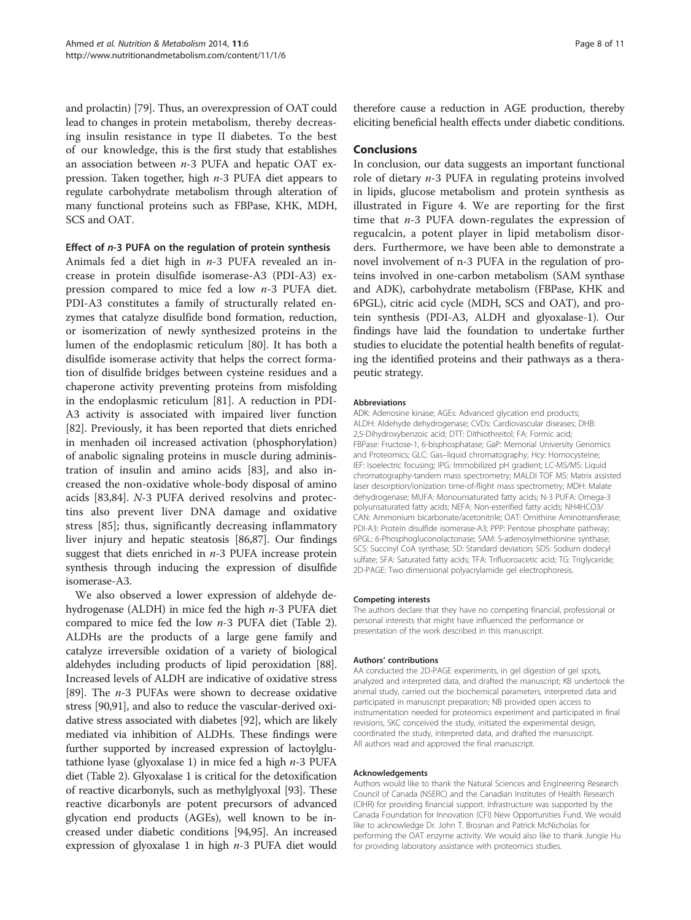and prolactin) [[79](#page-9-0)]. Thus, an overexpression of OAT could lead to changes in protein metabolism, thereby decreasing insulin resistance in type II diabetes. To the best of our knowledge, this is the first study that establishes an association between  $n-3$  PUFA and hepatic OAT expression. Taken together, high n-3 PUFA diet appears to regulate carbohydrate metabolism through alteration of many functional proteins such as FBPase, KHK, MDH, SCS and OAT.

#### Effect of n-3 PUFA on the regulation of protein synthesis

Animals fed a diet high in  $n-3$  PUFA revealed an increase in protein disulfide isomerase-A3 (PDI-A3) expression compared to mice fed a low n-3 PUFA diet. PDI-A3 constitutes a family of structurally related enzymes that catalyze disulfide bond formation, reduction, or isomerization of newly synthesized proteins in the lumen of the endoplasmic reticulum [[80\]](#page-9-0). It has both a disulfide isomerase activity that helps the correct formation of disulfide bridges between cysteine residues and a chaperone activity preventing proteins from misfolding in the endoplasmic reticulum [[81](#page-9-0)]. A reduction in PDI-A3 activity is associated with impaired liver function [[82\]](#page-9-0). Previously, it has been reported that diets enriched in menhaden oil increased activation (phosphorylation) of anabolic signaling proteins in muscle during administration of insulin and amino acids [[83](#page-9-0)], and also increased the non-oxidative whole-body disposal of amino acids [\[83,84\]](#page-9-0). N-3 PUFA derived resolvins and protectins also prevent liver DNA damage and oxidative stress [\[85](#page-9-0)]; thus, significantly decreasing inflammatory liver injury and hepatic steatosis [[86,87](#page-9-0)]. Our findings suggest that diets enriched in  $n-3$  PUFA increase protein synthesis through inducing the expression of disulfide isomerase-A3.

We also observed a lower expression of aldehyde dehydrogenase (ALDH) in mice fed the high  $n-3$  PUFA diet compared to mice fed the low  $n-3$  PUFA diet (Table [2](#page-5-0)). ALDHs are the products of a large gene family and catalyze irreversible oxidation of a variety of biological aldehydes including products of lipid peroxidation [[88](#page-9-0)]. Increased levels of ALDH are indicative of oxidative stress [[89](#page-9-0)]. The  $n-3$  PUFAs were shown to decrease oxidative stress [[90,91](#page-10-0)], and also to reduce the vascular-derived oxidative stress associated with diabetes [\[92\]](#page-10-0), which are likely mediated via inhibition of ALDHs. These findings were further supported by increased expression of lactoylglutathione lyase (glyoxalase 1) in mice fed a high  $n-3$  PUFA diet (Table [2\)](#page-5-0). Glyoxalase 1 is critical for the detoxification of reactive dicarbonyls, such as methylglyoxal [\[93](#page-10-0)]. These reactive dicarbonyls are potent precursors of advanced glycation end products (AGEs), well known to be increased under diabetic conditions [[94](#page-10-0),[95](#page-10-0)]. An increased expression of glyoxalase 1 in high  $n-3$  PUFA diet would therefore cause a reduction in AGE production, thereby eliciting beneficial health effects under diabetic conditions.

#### **Conclusions**

In conclusion, our data suggests an important functional role of dietary  $n-3$  PUFA in regulating proteins involved in lipids, glucose metabolism and protein synthesis as illustrated in Figure [4](#page-6-0). We are reporting for the first time that  $n-3$  PUFA down-regulates the expression of regucalcin, a potent player in lipid metabolism disorders. Furthermore, we have been able to demonstrate a novel involvement of n-3 PUFA in the regulation of proteins involved in one-carbon metabolism (SAM synthase and ADK), carbohydrate metabolism (FBPase, KHK and 6PGL), citric acid cycle (MDH, SCS and OAT), and protein synthesis (PDI-A3, ALDH and glyoxalase-1). Our findings have laid the foundation to undertake further studies to elucidate the potential health benefits of regulating the identified proteins and their pathways as a therapeutic strategy.

#### Abbreviations

ADK: Adenosine kinase; AGEs: Advanced glycation end products; ALDH: Aldehyde dehydrogenase; CVDs: Cardiovascular diseases; DHB: 2,5-Dihydroxybenzoic acid; DTT: Dithiothreitol; FA: Formic acid; FBPase: Fructose-1, 6-bisphosphatase; GaP: Memorial University Genomics and Proteomics; GLC: Gas–liquid chromatography; Hcy: Homocysteine; IEF: Isoelectric focusing; IPG: Immobilized pH gradient; LC-MS/MS: Liquid chromatography-tandem mass spectrometry; MALDI TOF MS: Matrix assisted laser desorption/ionization time-of-flight mass spectrometry; MDH: Malate dehydrogenase; MUFA: Monounsaturated fatty acids; N-3 PUFA: Omega-3 polyunsaturated fatty acids; NEFA: Non-esterified fatty acids; NH4HCO3/ CAN: Ammonium bicarbonate/acetonitrile; OAT: Ornithine Aminotransferase; PDI-A3: Protein disulfide isomerase-A3; PPP: Pentose phosphate pathway; 6PGL: 6-Phosphogluconolactonase; SAM: S-adenosylmethionine synthase; SCS: Succinyl CoA synthase; SD: Standard deviation; SDS: Sodium dodecyl sulfate; SFA: Saturated fatty acids; TFA: Trifluoroacetic acid; TG: Triglyceride; 2D-PAGE: Two dimensional polyacrylamide gel electrophoresis.

#### Competing interests

The authors declare that they have no competing financial, professional or personal interests that might have influenced the performance or presentation of the work described in this manuscript.

#### Authors' contributions

AA conducted the 2D-PAGE experiments, in gel digestion of gel spots, analyzed and interpreted data, and drafted the manuscript; KB undertook the animal study, carried out the biochemical parameters, interpreted data and participated in manuscript preparation; NB provided open access to instrumentation needed for proteomics experiment and participated in final revisions, SKC conceived the study, initiated the experimental design, coordinated the study, interpreted data, and drafted the manuscript. All authors read and approved the final manuscript.

#### Acknowledgements

Authors would like to thank the Natural Sciences and Engineering Research Council of Canada (NSERC) and the Canadian Institutes of Health Research (CIHR) for providing financial support. Infrastructure was supported by the Canada Foundation for Innovation (CFI) New Opportunities Fund. We would like to acknowledge Dr. John T. Brosnan and Patrick McNicholas for performing the OAT enzyme activity. We would also like to thank Jungie Hu for providing laboratory assistance with proteomics studies.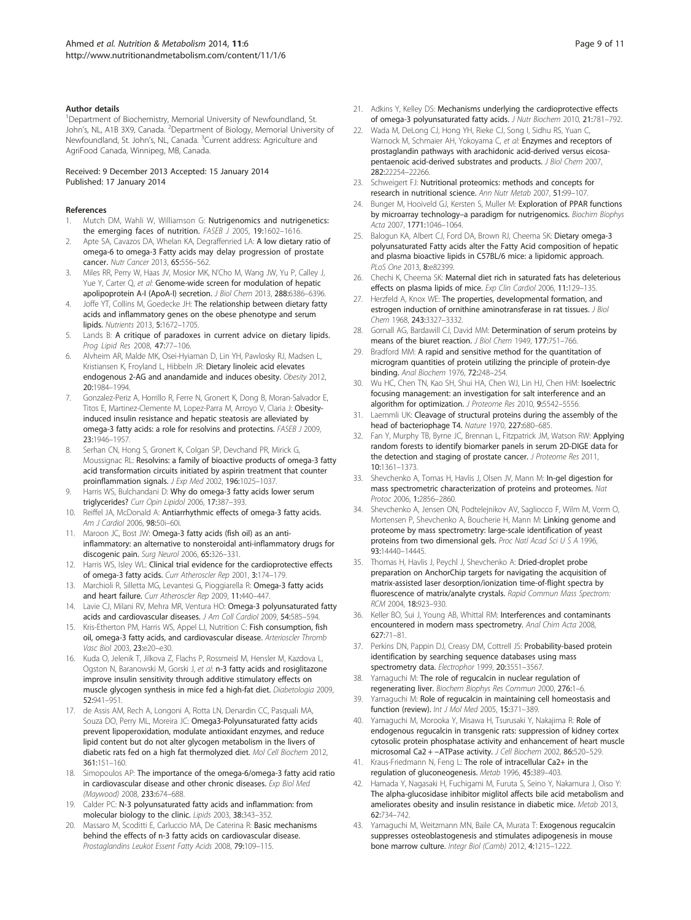#### <span id="page-8-0"></span>Author details

<sup>1</sup>Department of Biochemistry, Memorial University of Newfoundland, St. John's, NL, A1B 3X9, Canada. <sup>2</sup>Department of Biology, Memorial University of Newfoundland, St. John's, NL, Canada. <sup>3</sup>Current address: Agriculture and AgriFood Canada, Winnipeg, MB, Canada.

#### Received: 9 December 2013 Accepted: 15 January 2014 Published: 17 January 2014

#### References

- Mutch DM, Wahli W, Williamson G: Nutrigenomics and nutrigenetics: the emerging faces of nutrition. FASEB J 2005, 19:1602-1616.
- 2. Apte SA, Cavazos DA, Whelan KA, Degraffenried LA: A low dietary ratio of omega-6 to omega-3 Fatty acids may delay progression of prostate cancer. Nutr Cancer 2013, 65:556–562.
- 3. Miles RR, Perry W, Haas JV, Mosior MK, N'Cho M, Wang JW, Yu P, Calley J, Yue Y, Carter Q, et al: Genome-wide screen for modulation of hepatic apolipoprotein A-I (ApoA-I) secretion. J Biol Chem 2013, 288:6386-6396.
- Joffe YT, Collins M, Goedecke JH: The relationship between dietary fatty acids and inflammatory genes on the obese phenotype and serum lipids. Nutrients 2013, 5:1672–1705.
- Lands B: A critique of paradoxes in current advice on dietary lipids. Prog Lipid Res 2008, 47:77–106.
- 6. Alvheim AR, Malde MK, Osei-Hyiaman D, Lin YH, Pawlosky RJ, Madsen L, Kristiansen K, Froyland L, Hibbeln JR: Dietary linoleic acid elevates endogenous 2-AG and anandamide and induces obesity. Obesity 2012, 20:1984–1994.
- 7. Gonzalez-Periz A, Horrillo R, Ferre N, Gronert K, Dong B, Moran-Salvador E, Titos E, Martinez-Clemente M, Lopez-Parra M, Arroyo V, Claria J: Obesityinduced insulin resistance and hepatic steatosis are alleviated by omega-3 fatty acids: a role for resolvins and protectins. FASEB J 2009, 23:1946–1957.
- 8. Serhan CN, Hong S, Gronert K, Colgan SP, Devchand PR, Mirick G, Moussignac RL: Resolvins: a family of bioactive products of omega-3 fatty acid transformation circuits initiated by aspirin treatment that counter proinflammation signals. J Exp Med 2002, 196:1025–1037.
- 9. Harris WS, Bulchandani D: Why do omega-3 fatty acids lower serum triglycerides? Curr Opin Lipidol 2006, 17:387–393.
- 10. Reiffel JA, McDonald A: Antiarrhythmic effects of omega-3 fatty acids. Am J Cardiol 2006, 98:50i–60i.
- 11. Maroon JC, Bost JW: Omega-3 fatty acids (fish oil) as an antiinflammatory: an alternative to nonsteroidal anti-inflammatory drugs for discogenic pain. Surg Neurol 2006, 65:326–331.
- 12. Harris WS, Isley WL: Clinical trial evidence for the cardioprotective effects of omega-3 fatty acids. Curr Atheroscler Rep 2001, 3:174–179.
- 13. Marchioli R, Silletta MG, Levantesi G, Pioggiarella R: Omega-3 fatty acids and heart failure. Curr Atheroscler Rep 2009, 11:440–447.
- 14. Lavie CJ, Milani RV, Mehra MR, Ventura HO: Omega-3 polyunsaturated fatty acids and cardiovascular diseases. J Am Coll Cardiol 2009, 54:585–594.
- 15. Kris-Etherton PM, Harris WS, Appel LJ, Nutrition C: Fish consumption, fish oil, omega-3 fatty acids, and cardiovascular disease. Arterioscler Thromb Vasc Biol 2003, 23:e20–e30.
- 16. Kuda O, Jelenik T, Jilkova Z, Flachs P, Rossmeisl M, Hensler M, Kazdova L, Ogston N, Baranowski M, Gorski J, et al: n-3 fatty acids and rosiglitazone improve insulin sensitivity through additive stimulatory effects on muscle glycogen synthesis in mice fed a high-fat diet. Diabetologia 2009, 52:941–951.
- 17. de Assis AM, Rech A, Longoni A, Rotta LN, Denardin CC, Pasquali MA, Souza DO, Perry ML, Moreira JC: Omega3-Polyunsaturated fatty acids prevent lipoperoxidation, modulate antioxidant enzymes, and reduce lipid content but do not alter glycogen metabolism in the livers of diabetic rats fed on a high fat thermolyzed diet. Mol Cell Biochem 2012, 361:151–160.
- 18. Simopoulos AP: The importance of the omega-6/omega-3 fatty acid ratio in cardiovascular disease and other chronic diseases. Exp Biol Med (Maywood) 2008, 233:674–688.
- 19. Calder PC: N-3 polyunsaturated fatty acids and inflammation: from molecular biology to the clinic. Lipids 2003, 38:343–352.
- 20. Massaro M, Scoditti E, Carluccio MA, De Caterina R: Basic mechanisms behind the effects of n-3 fatty acids on cardiovascular disease. Prostaglandins Leukot Essent Fatty Acids 2008, 79:109–115.
- 21. Adkins Y, Kelley DS: Mechanisms underlying the cardioprotective effects of omega-3 polyunsaturated fatty acids. J Nutr Biochem 2010, 21:781–792.
- 22. Wada M, DeLong CJ, Hong YH, Rieke CJ, Song I, Sidhu RS, Yuan C, Warnock M, Schmaier AH, Yokoyama C, et al: Enzymes and receptors of prostaglandin pathways with arachidonic acid-derived versus eicosapentaenoic acid-derived substrates and products. J Biol Chem 2007, 282:22254–22266.
- 23. Schweigert FJ: Nutritional proteomics: methods and concepts for research in nutritional science. Ann Nutr Metab 2007, 51:99–107.
- 24. Bunger M, Hooiveld GJ, Kersten S, Muller M: Exploration of PPAR functions by microarray technology-a paradigm for nutrigenomics. Biochim Biophys Acta 2007, 1771:1046–1064.
- 25. Balogun KA, Albert CJ, Ford DA, Brown RJ, Cheema SK: Dietary omega-3 polyunsaturated Fatty acids alter the Fatty Acid composition of hepatic and plasma bioactive lipids in C57BL/6 mice: a lipidomic approach. PLoS One 2013, 8:e82399.
- 26. Chechi K, Cheema SK: Maternal diet rich in saturated fats has deleterious effects on plasma lipids of mice. Exp Clin Cardiol 2006, 11:129–135.
- 27. Herzfeld A, Knox WE: The properties, developmental formation, and estrogen induction of ornithine aminotransferase in rat tissues. *J Biol* Chem 1968, 243:3327–3332.
- 28. Gornall AG, Bardawill CJ, David MM: Determination of serum proteins by means of the biuret reaction. J Biol Chem 1949, 177:751-766.
- 29. Bradford MM: A rapid and sensitive method for the quantitation of microgram quantities of protein utilizing the principle of protein-dye binding. Anal Biochem 1976, 72:248–254.
- 30. Wu HC, Chen TN, Kao SH, Shui HA, Chen WJ, Lin HJ, Chen HM: Isoelectric focusing management: an investigation for salt interference and an algorithm for optimization. J Proteome Res 2010, 9:5542-5556
- 31. Laemmli UK: Cleavage of structural proteins during the assembly of the head of bacteriophage T4. Nature 1970, 227:680–685.
- Fan Y, Murphy TB, Byrne JC, Brennan L, Fitzpatrick JM, Watson RW: Applying random forests to identify biomarker panels in serum 2D-DIGE data for the detection and staging of prostate cancer. J Proteome Res 2011, 10:1361–1373.
- 33. Shevchenko A, Tomas H, Havlis J, Olsen JV, Mann M: In-gel digestion for mass spectrometric characterization of proteins and proteomes. Nat Protoc 2006, 1:2856–2860.
- 34. Shevchenko A, Jensen ON, Podtelejnikov AV, Sagliocco F, Wilm M, Vorm O, Mortensen P, Shevchenko A, Boucherie H, Mann M: Linking genome and proteome by mass spectrometry: large-scale identification of yeast proteins from two dimensional gels. Proc Natl Acad Sci U S A 1996, 93:14440–14445.
- 35. Thomas H, Havlis J, Peychl J, Shevchenko A: Dried-droplet probe preparation on AnchorChip targets for navigating the acquisition of matrix-assisted laser desorption/ionization time-of-flight spectra by fluorescence of matrix/analyte crystals. Rapid Commun Mass Spectrom: RCM 2004, 18:923–930.
- 36. Keller BO, Sui J, Young AB, Whittal RM: Interferences and contaminants encountered in modern mass spectrometry. Anal Chim Acta 2008, 627:71–81.
- 37. Perkins DN, Pappin DJ, Creasy DM, Cottrell JS: Probability-based protein identification by searching sequence databases using mass spectrometry data. Electrophor 1999, 20:3551-3567
- 38. Yamaguchi M: The role of regucalcin in nuclear regulation of regenerating liver. Biochem Biophys Res Commun 2000, 276:1–6.
- 39. Yamaguchi M: Role of regucalcin in maintaining cell homeostasis and function (review). Int J Mol Med 2005, 15:371–389.
- 40. Yamaguchi M, Morooka Y, Misawa H, Tsurusaki Y, Nakajima R: Role of endogenous regucalcin in transgenic rats: suppression of kidney cortex cytosolic protein phosphatase activity and enhancement of heart muscle microsomal Ca2 + −ATPase activity. J Cell Biochem 2002, 86:520–529.
- 41. Kraus-Friedmann N, Feng L: The role of intracellular Ca2+ in the regulation of gluconeogenesis. Metab 1996, 45:389–403.
- 42. Hamada Y, Nagasaki H, Fuchigami M, Furuta S, Seino Y, Nakamura J, Oiso Y: The alpha-glucosidase inhibitor miglitol affects bile acid metabolism and ameliorates obesity and insulin resistance in diabetic mice. Metab 2013, 62:734–742.
- 43. Yamaguchi M, Weitzmann MN, Baile CA, Murata T: Exogenous regucalcin suppresses osteoblastogenesis and stimulates adipogenesis in mouse bone marrow culture. Integr Biol (Camb) 2012, 4:1215–1222.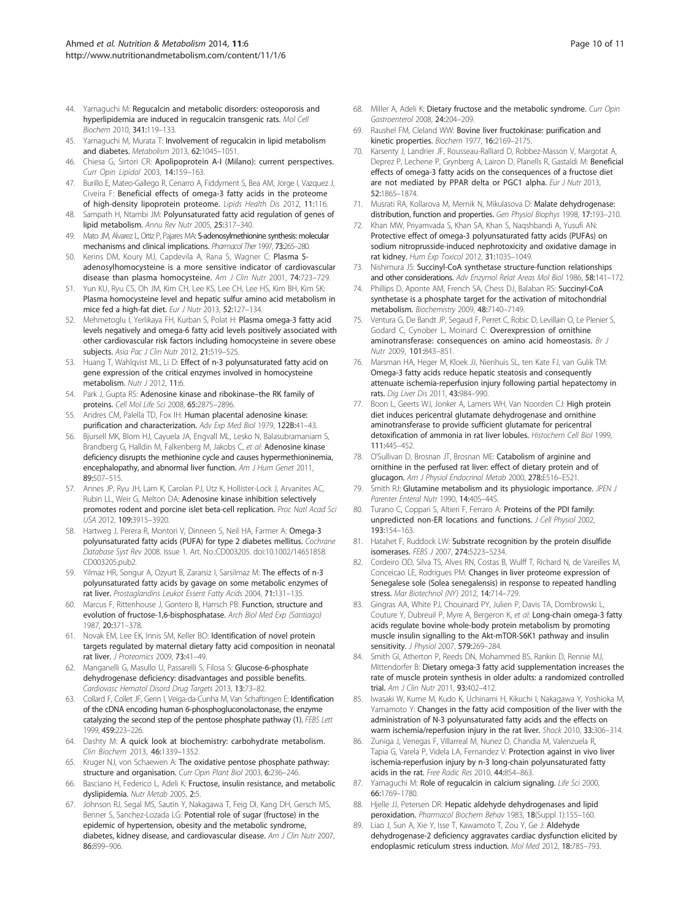- <span id="page-9-0"></span>44. Yamaguchi M: Regucalcin and metabolic disorders: osteoporosis and hyperlipidemia are induced in regucalcin transgenic rats. Mol Cell Biochem 2010, 341:119–133.
- 45. Yamaguchi M, Murata T: Involvement of regucalcin in lipid metabolism and diabetes. Metabolism 2013, 62:1045–1051.
- 46. Chiesa G, Sirtori CR: Apolipoprotein A-I (Milano): current perspectives. Curr Opin Lipidol 2003, 14:159–163.
- 47. Burillo E, Mateo-Gallego R, Cenarro A, Fiddyment S, Bea AM, Jorge I, Vazquez J, Civeira F: Beneficial effects of omega-3 fatty acids in the proteome of high-density lipoprotein proteome. Lipids Health Dis 2012, 11:116.
- 48. Sampath H, Ntambi JM: Polyunsaturated fatty acid regulation of genes of lipid metabolism. Annu Rev Nutr 2005, 25:317–340.
- 49. Mato JM, Alvarez L, Ortiz P, Pajares MA: S-adenosylmethionine synthesis: molecular mechanisms and clinical implications. Pharmacol Ther 1997, 73:265–280.
- 50. Kerins DM, Koury MJ, Capdevila A, Rana S, Wagner C: Plasma Sadenosylhomocysteine is a more sensitive indicator of cardiovascular disease than plasma homocysteine. Am J Clin Nutr 2001, 74:723-729.
- 51. Yun KU, Ryu CS, Oh JM, Kim CH, Lee KS, Lee CH, Lee HS, Kim BH, Kim SK: Plasma homocysteine level and hepatic sulfur amino acid metabolism in mice fed a high-fat diet. Eur J Nutr 2013, 52:127–134.
- 52. Mehmetoglu I, Yerlikaya FH, Kurban S, Polat H: Plasma omega-3 fatty acid levels negatively and omega-6 fatty acid levels positively associated with other cardiovascular risk factors including homocysteine in severe obese subjects. Asia Pac J Clin Nutr 2012, 21:519-525.
- 53. Huang T, Wahlqvist ML, Li D: Effect of n-3 polyunsaturated fatty acid on gene expression of the critical enzymes involved in homocysteine metabolism. Nutr J 2012, 11:6.
- 54. Park J, Gupta RS: Adenosine kinase and ribokinase–the RK family of proteins. Cell Mol Life Sci 2008, 65:2875–2896.
- 55. Andres CM, Palella TD, Fox IH: Human placental adenosine kinase: purification and characterization. Adv Exp Med Biol 1979, 122B:41–43.
- 56. Bjursell MK, Blom HJ, Cayuela JA, Engvall ML, Lesko N, Balasubramaniam S, Brandberg G, Halldin M, Falkenberg M, Jakobs C, et al: Adenosine kinase deficiency disrupts the methionine cycle and causes hypermethioninemia, encephalopathy, and abnormal liver function. Am J Hum Genet 2011, 89:507–515.
- 57. Annes JP, Ryu JH, Lam K, Carolan PJ, Utz K, Hollister-Lock J, Arvanites AC, Rubin LL, Weir G, Melton DA: Adenosine kinase inhibition selectively promotes rodent and porcine islet beta-cell replication. Proc Natl Acad Sci USA 2012, 109:3915–3920.
- 58. Hartweg J, Perera R, Montori V, Dinneen S, Neil HA, Farmer A: Omega-3 polyunsaturated fatty acids (PUFA) for type 2 diabetes mellitus. Cochrane Database Syst Rev 2008. Issue 1. Art. No.:CD003205. doi:10.1002/14651858. CD003205.pub2.
- 59. Yilmaz HR, Songur A, Ozyurt B, Zararsiz I, Sarsilmaz M: The effects of n-3 polyunsaturated fatty acids by gavage on some metabolic enzymes of rat liver. Prostaglandins Leukot Essent Fatty Acids 2004, 71:131-135.
- 60. Marcus F, Rittenhouse J, Gontero B, Harrsch PB: Function, structure and evolution of fructose-1,6-bisphosphatase. Arch Biol Med Exp (Santiago) 1987, 20:371–378.
- 61. Novak EM, Lee EK, Innis SM, Keller BO: Identification of novel protein targets regulated by maternal dietary fatty acid composition in neonatal rat liver. J Proteomics 2009, 73:41–49.
- 62. Manganelli G, Masullo U, Passarelli S, Filosa S: Glucose-6-phosphate dehydrogenase deficiency: disadvantages and possible benefits. Cardiovasc Hematol Disord Drug Targets 2013, 13:73–82.
- 63. Collard F, Collet JF, Gerin I, Veiga-da-Cunha M, Van Schaftingen E: Identification of the cDNA encoding human 6-phosphogluconolactonase, the enzyme catalyzing the second step of the pentose phosphate pathway (1). FEBS Lett 1999, 459:223–226.
- 64. Dashty M: A quick look at biochemistry: carbohydrate metabolism. Clin Biochem 2013, 46:1339–1352.
- 65. Kruger NJ, von Schaewen A: The oxidative pentose phosphate pathway: structure and organisation. Curr Opin Plant Biol 2003, 6:236-246.
- 66. Basciano H, Federico L, Adeli K: Fructose, insulin resistance, and metabolic dyslipidemia. Nutr Metab 2005, 2:5.
- 67. Johnson RJ, Segal MS, Sautin Y, Nakagawa T, Feig DI, Kang DH, Gersch MS, Benner S, Sanchez-Lozada LG: Potential role of sugar (fructose) in the epidemic of hypertension, obesity and the metabolic syndrome, diabetes, kidney disease, and cardiovascular disease. Am J Clin Nutr 2007, 86:899–906.
- 68. Miller A, Adeli K: Dietary fructose and the metabolic syndrome. Curr Opin Gastroenterol 2008, 24:204–209.
- 69. Raushel FM, Cleland WW: Bovine liver fructokinase: purification and kinetic properties. Biochem 1977, 16:2169–2175.
- 70. Karsenty J, Landrier JF, Rousseau-Ralliard D, Robbez-Masson V, Margotat A, Deprez P, Lechene P, Grynberg A, Lairon D, Planells R, Gastaldi M: Beneficial effects of omega-3 fatty acids on the consequences of a fructose diet are not mediated by PPAR delta or PGC1 alpha. Eur J Nutr 2013, 52:1865–1874.
- 71. Musrati RA, Kollarova M, Mernik N, Mikulasova D: Malate dehydrogenase: distribution, function and properties. Gen Physiol Biophys 1998, 17:193–210.
- 72. Khan MW, Priyamvada S, Khan SA, Khan S, Naqshbandi A, Yusufi AN: Protective effect of omega-3 polyunsaturated fatty acids (PUFAs) on sodium nitroprusside-induced nephrotoxicity and oxidative damage in rat kidney. Hum Exp Toxicol 2012, 31:1035-1049.
- 73. Nishimura JS: Succinyl-CoA synthetase structure-function relationships and other considerations. Adv Enzymol Relat Areas Mol Biol 1986, 58:141-172.
- 74. Phillips D, Aponte AM, French SA, Chess DJ, Balaban RS: Succinyl-CoA synthetase is a phosphate target for the activation of mitochondrial metabolism. Biochemistry 2009, 48:7140–7149.
- 75. Ventura G, De Bandt JP, Segaud F, Perret C, Robic D, Levillain O, Le Plenier S, Godard C, Cynober L, Moinard C: Overexpression of ornithine aminotransferase: consequences on amino acid homeostasis. Br J Nutr 2009, 101:843–851.
- 76. Marsman HA, Heger M, Kloek JJ, Nienhuis SL, ten Kate FJ, van Gulik TM: Omega-3 fatty acids reduce hepatic steatosis and consequently attenuate ischemia-reperfusion injury following partial hepatectomy in rats. Dig Liver Dis 2011, 43:984–990.
- 77. Boon L, Geerts WJ, Jonker A, Lamers WH, Van Noorden CJ: High protein diet induces pericentral glutamate dehydrogenase and ornithine aminotransferase to provide sufficient glutamate for pericentral detoxification of ammonia in rat liver lobules. Histochem Cell Biol 1999, 111:445–452.
- 78. O'Sullivan D, Brosnan JT, Brosnan ME: Catabolism of arginine and ornithine in the perfused rat liver: effect of dietary protein and of glucagon. Am J Physiol Endocrinol Metab 2000, 278:E516-E521.
- 79. Smith RJ: Glutamine metabolism and its physiologic importance. JPEN J Parenter Enteral Nutr 1990, 14:40S–44S.
- 80. Turano C, Coppari S, Altieri F, Ferraro A: Proteins of the PDI family: unpredicted non-ER locations and functions. J Cell Physiol 2002, 193:154–163.
- 81. Hatahet F, Ruddock LW: Substrate recognition by the protein disulfide isomerases. FEBS J 2007, 274:5223–5234.
- 82. Cordeiro OD, Silva TS, Alves RN, Costas B, Wulff T, Richard N, de Vareilles M, Conceicao LE, Rodrigues PM: Changes in liver proteome expression of Senegalese sole (Solea senegalensis) in response to repeated handling stress. Mar Biotechnol (NY) 2012, 14:714–729.
- 83. Gingras AA, White PJ, Chouinard PY, Julien P, Davis TA, Dombrowski L, Couture Y, Dubreuil P, Myre A, Bergeron K, et al: Long-chain omega-3 fatty acids regulate bovine whole-body protein metabolism by promoting muscle insulin signalling to the Akt-mTOR-S6K1 pathway and insulin sensitivity. J Physiol 2007, 579:269-284.
- 84. Smith GI, Atherton P, Reeds DN, Mohammed BS, Rankin D, Rennie MJ, Mittendorfer B: Dietary omega-3 fatty acid supplementation increases the rate of muscle protein synthesis in older adults: a randomized controlled trial. Am J Clin Nutr 2011, 93:402–412.
- 85. Iwasaki W, Kume M, Kudo K, Uchinami H, Kikuchi I, Nakagawa Y, Yoshioka M, Yamamoto Y: Changes in the fatty acid composition of the liver with the administration of N-3 polyunsaturated fatty acids and the effects on warm ischemia/reperfusion injury in the rat liver. Shock 2010, 33:306–314.
- 86. Zuniga J, Venegas F, Villarreal M, Nunez D, Chandia M, Valenzuela R, Tapia G, Varela P, Videla LA, Fernandez V: Protection against in vivo liver ischemia-reperfusion injury by n-3 long-chain polyunsaturated fatty acids in the rat. Free Radic Res 2010, 44:854–863.
- 87. Yamaguchi M: Role of regucalcin in calcium signaling. Life Sci 2000, 66:1769–1780.
- 88. Hjelle JJ, Petersen DR: Hepatic aldehyde dehydrogenases and lipid peroxidation. Pharmacol Biochem Behav 1983, 18(Suppl 1):155–160.
- 89. Liao J, Sun A, Xie Y, Isse T, Kawamoto T, Zou Y, Ge J: Aldehyde dehydrogenase-2 deficiency aggravates cardiac dysfunction elicited by endoplasmic reticulum stress induction. Mol Med 2012, 18:785–793.